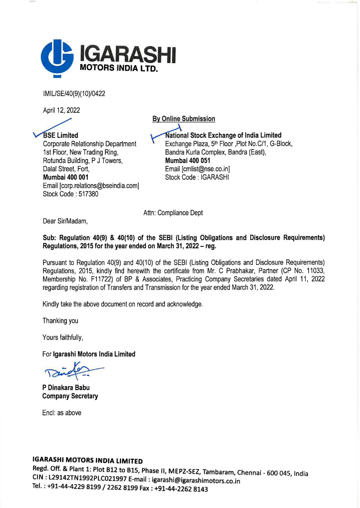

IM IL/SE/40(9)( 10)/0422

April 12, 2022

**BSE Limited** Corporate Relationship Department 1st Floor, New Trading Ring, Rotunda Building, P J Towers, Dalal Street, Fort, Mumbai 400 001 Email [corp.relations@bseindia.com] Stock Code : 517380 **National Stock Exchange of India Limited** Exchange Plaza, 5<sup>th</sup> Floor ,Plot No.C/1, G-Block, Sandra Kurla Complex, Sandra (East), Mumbai 400 051 Email [cmlist@nse.co.in] Stock Code: IGARASHI

By Online Submission

Attn: Compliance Dept

Dear Sir/Madam,

Sub: Regulation 40(9) & 40(10) of the SEBI (Listing Obligations and Disclosure Requirements) Regulations, 2015 for the year ended on March 31, 2022 - reg.

Pursuant to Regulation 40(9) and 40(10) of the SEBI (Listing Obligations and Disclosure Requirements) Regulations, 2015, kindly find herewith the certificate from Mr. C Prabhakar, Partner (CP No. 11033, Membership No. F11722) of BP & Associates, Practicing Company Secretaries dated April 11, 2022 regarding registration of Transfers and Transmission for the year ended March 31, 2022.

Kindly take the above document on record and acknowledge.

Thanking you

Yours faithfully,

For lgarashi Motors India Limited

P Dinakara Babu Company Secretary

Encl: as above

## IGARASHI MOTORS INDIA LIMITED

Regd. Off. & Plant 1: Plot B12 to B15, Phase II, MEPZ-SEZ, Tambaram, Chennai - 600 045, India CIN: L29142TN1992PLC021997 E-mail: igarashi@igarashimotors.co.in ' Tel.: +91-44-4229 8199 / 2262 8199 Fax: +91-44-2262 8143